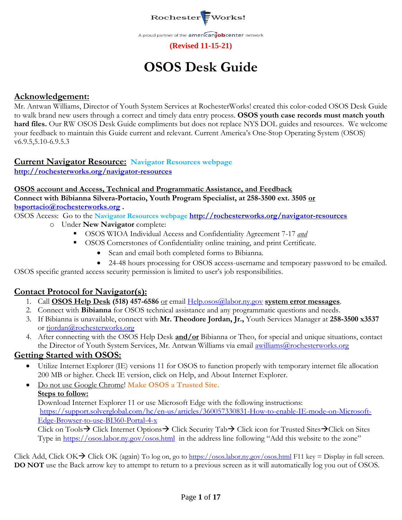

# **OSOS Desk Guide**

#### **Acknowledgement:**

Mr. Antwan Williams, Director of Youth System Services at RochesterWorks! created this color-coded OSOS Desk Guide to walk brand new users through a correct and timely data entry process. **OSOS youth case records must match youth hard files.** Our RW OSOS Desk Guide compliments but does not replace NYS DOL guides and resources. We welcome your feedback to maintain this Guide current and relevant. Current America's One-Stop Operating System (OSOS) v6.9.5,5.10-6.9.5.3

#### **Current Navigator Resource: Navigator Resources webpage <http://rochesterworks.org/navigator-resources>**

**OSOS account and Access, Technical and Programmatic Assistance, and Feedback Connect with Bibianna Silvera-Portacio, Youth Program Specialist, at 258-3500 ext. 3505 or [bsportacio@rochesterworks.org](mailto:bsportacio@rochesterworks.org) .** 

OSOS Access: Go to the **Navigator Resources webpage <http://rochesterworks.org/navigator-resources>**

- o Under **New Navigator** complete:
	- OSOS WIOA Individual Access and Confidentiality Agreement 7-17 *and*
	- OSOS Cornerstones of Confidentiality online training, and print Certificate.
		- Scan and email both completed forms to Bibianna.
		- 24-48 hours processing for OSOS access-username and temporary password to be emailed.

OSOS specific granted access security permission is limited to user's job responsibilities.

### **Contact Protocol for Navigator(s):**

- 1. Call **OSOS Help Desk (518) 457-6586** or email [Help.osos@labor.ny.gov](mailto:Help.osos@labor.ny.gov) **system error messages**.
- 2. Connect with **Bibianna** for OSOS technical assistance and any programmatic questions and needs.
- 3. If Bibianna is unavailable, connect with **Mr. Theodore Jordan, Jr.,** Youth Services Manager at **258-3500 x3537** or [tjordan@rochesterworks.org](mailto:tjordan@rochesterworks.org)
- 4. After connecting with the OSOS Help Desk **and/or** Bibianna or Theo, for special and unique situations, contact the Director of Youth System Services, Mr. Antwan Williams via email **awilliams@rochesterworks.org**

#### **Getting Started with OSOS:**

- Utilize Internet Explorer (IE) versions 11 for OSOS to function properly with temporary internet file allocation 200 MB or higher. Check IE version, click on Help, and About Internet Explorer.
- Do not use Google Chrome! **Make OSOS a Trusted Site.**

#### **Steps to follow:**

Download Internet Explorer 11 or use Microsoft Edge with the following instructions: [https://support.solverglobal.com/hc/en-us/articles/360057330831-How-to-enable-IE-mode-on-Microsoft-](https://support.solverglobal.com/hc/en-us/articles/360057330831-How-to-enable-IE-mode-on-Microsoft-Edge-Browser-to-use-BI360-Portal-4-x)[Edge-Browser-to-use-BI360-Portal-4-x](https://support.solverglobal.com/hc/en-us/articles/360057330831-How-to-enable-IE-mode-on-Microsoft-Edge-Browser-to-use-BI360-Portal-4-x)

Click on Tools→ Click Internet Options→ Click Security Tab→ Click icon for Trusted Sites→Click on Sites Type in<https://osos.labor.ny.gov/osos.html>in the address line following "Add this website to the zone"

Click Add, Click OK $\rightarrow$  Click OK (again) To log on, go to<https://osos.labor.ny.gov/osos.html> F11 key = Display in full screen. **DO NOT** use the Back arrow key to attempt to return to a previous screen as it will automatically log you out of OSOS.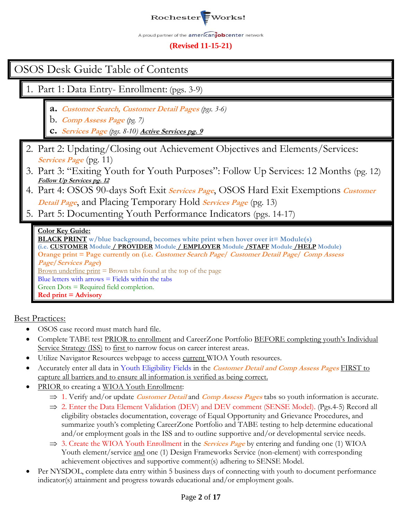

#### **(Revised 11-15-21)**

## OSOS Desk Guide Table of Contents

- 1. Part 1: Data Entry- Enrollment: (pgs. 3-9)
	- **a. Customer Search, Customer Detail Pages** *(pgs. 3-6)*
	- b. **Comp Assess Page** *(pg. 7)*
	- **c. Services Page** *(pgs. 8-10)* **Active Services pg. 9**
- 2. Part 2: Updating/Closing out Achievement Objectives and Elements/Services: **Services Page** (pg. 11)
- 3. Part 3: "Exiting Youth for Youth Purposes": Follow Up Services: 12 Months (pg. 12) **Follow Up Services pg. 12**
- 4. Part 4: OSOS 90-days Soft Exit **Services Page**, OSOS Hard Exit Exemptions **Customer Detail Page**, and Placing Temporary Hold **Services Page** (pg. 13)
- 5. Part 5: Documenting Youth Performance Indicators (pgs. 14-17)

#### **Color Key Guide:**

**BLACK PRINT w/blue background, becomes white print when hover over it= Module(s) (i.e. CUSTOMER Module / PROVIDER Module / EMPLOYER Module /STAFF Module /HELP Module) Orange print = Page currently on (i.e. Customer Search Page/ Customer Detail Page/ Comp Assess Page/Services Page)** Brown underline print  $=$  Brown tabs found at the top of the page Blue letters with  $arrows$  = Fields within the tabs Green Dots = Required field completion. **Red print = Advisory** 

Best Practices:

- OSOS case record must match hard file.
- Complete TABE test PRIOR to enrollment and CareerZone Portfolio BEFORE completing youth's Individual Service Strategy (ISS) to first to narrow focus on career interest areas.
- Utilize Navigator Resources webpage to access current WIOA Youth resources.
- Accurately enter all data in Youth Eligibility Fields in the **Customer Detail and Comp Assess Pages** FIRST to capture all barriers and to ensure all information is verified as being correct.
- PRIOR to creating a WIOA Youth Enrollment:
	- ⇒ 1. Verify and/or update *Customer Detail* and *Comp Assess Pages* tabs so youth information is accurate.
	- $\Rightarrow$  2. Enter the Data Element Validation (DEV) and DEV comment (SENSE Model). (Pgs. 4-5) Record all eligibility obstacles documentation, coverage of Equal Opportunity and Grievance Procedures, and summarize youth's completing CareerZone Portfolio and TABE testing to help determine educational and/or employment goals in the ISS and to outline supportive and/or developmental service needs.
	- $\Rightarrow$  3. Create the WIOA Youth Enrollment in the *Services Page* by entering and funding one (1) WIOA Youth element/service and one (1) Design Frameworks Service (non-element) with corresponding achievement objectives and supportive comment(s) adhering to SENSE Model.
- Per NYSDOL, complete data entry within 5 business days of connecting with youth to document performance indicator(s) attainment and progress towards educational and/or employment goals.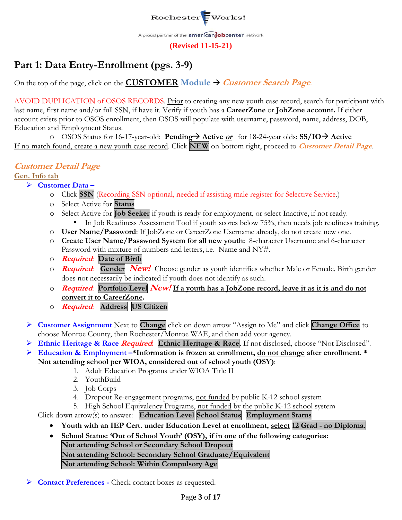

## **Part 1: Data Entry-Enrollment (pgs. 3-9)**

On the top of the page, click on the **CUSTOMER Module**  $\rightarrow$  **Customer Search Page.** 

AVOID DUPLICATION of OSOS RECORDS. Prior to creating any new youth case record, search for participant with last name, first name and/or full SSN, if have it. Verify if youth has a **CareerZone** or **JobZone account.** If either account exists prior to OSOS enrollment, then OSOS will populate with username, password, name, address, DOB, Education and Employment Status.

o OSOS Status for 16-17-year-old: **Pending**→ **Active or** for 18-24-year olds: **SS/IO**→ **Active** If no match found, create a new youth case record. Click **NEW** on bottom right, proceed to **Customer Detail Page**.

### **Customer Detail Page**

#### **Gen. Info tab**

- ➢ **Customer Data –**
	- o Click **SSN** (Recording SSN optional, needed if assisting male register for Selective Service.)
	- o Select Active for **Status**
	- o Select Active for **Job Seeker** if youth is ready for employment, or select Inactive, if not ready.
		- In Job Readiness Assessment Tool if youth scores below 75%, then needs job readiness training.
	- o **User Name/Password**: If JobZone or CareerZone Username already, do not create new one.
	- o **Create User Name/Password System for all new youth:** 8-character Username and 6-character Password with mixture of numbers and letters, i.e. Name and NY#.
	- o **Required**: **Date of Birth**
	- o **Required**: **Gender New!** Choose gender as youth identifies whether Male or Female. Birth gender does not necessarily be indicated if youth does not identify as such.
	- o **Required**: **Portfolio Level New! If a youth has a JobZone record, leave it as it is and do not convert it to CareerZone.**
	- o **Required**: **Address US Citizen**
- ➢ **Customer Assignment** Next to **Change** click on down arrow "Assign to Me" and click **Change Office** to choose Monroe County, then Rochester/Monroe WAE, and then add your agency.
- ➢ **Ethnic Heritage & Race Required: Ethnic Heritage & Race**. If not disclosed, choose "Not Disclosed".
- ➢ **Education & Employment –\*Information is frozen at enrollment, do not change after enrollment. \* Not attending school per WIOA, considered out of school youth (OSY)**:
	- 1. Adult Education Programs under WIOA Title II
	- 2. YouthBuild
	- 3. Job Corps
	- 4. Dropout Re-engagement programs, not funded by public K-12 school system
	- 5. High School Equivalency Programs, not funded by the public K-12 school system

Click down arrow(s) to answer: **Education Level School Status Employment Status**

- **Youth with an IEP Cert. under Education Level at enrollment, select 12 Grad - no Diploma.**
- **School Status: 'Out of School Youth' (OSY), if in one of the following categories: Not attending School or Secondary School Dropout Not attending School: Secondary School Graduate/Equivalent Not attending School: Within Compulsory Age**
- ➢ **Contact Preferences -** Check contact boxes as requested.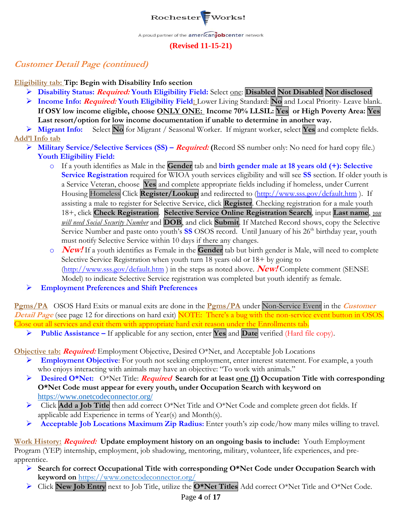

#### **(Revised 11-15-21)**

### **Customer Detail Page (continued)**

**Eligibility tab: Tip: Begin with Disability Info section**

- ➢ **Disability Status: Required: Youth Eligibility Field:** Select one: **Disabled Not Disabled Not disclosed**
- ➢ **Income Info: Required: Youth Eligibility Field:** Lower Living Standard: **No** and Local Priority- Leave blank. **If OSY low income eligible, choose ONLY ONE: Income 70% LLSIL: Yes or High Poverty Area: Yes Last resort/option for low income documentation if unable to determine in another way.**
- ➢ **Migrant Info:** Select **No** for Migrant / Seasonal Worker. If migrant worker, select **Yes** and complete fields. **Add'l Info tab** 
	- ➢ **Military Service/Selective Services (SS) – Required: (**Record SS number only: No need for hard copy file.) **Youth Eligibility Field:**
		- o If a youth identifies as Male in the **Gender** tab and **birth gender male at 18 years old (+): Selective Service Registration** required for WIOA youth services eligibility and will see SS section. If older youth is a Service Veteran, choose **Yes** and complete appropriate fields including if homeless, under Current Housing Homeless Click **Register/Lookup** and redirected to [\(http://www.sss.gov/default.htm](http://www.sss.gov/default.htm) ). If assisting a male to register for Selective Service, click **Register**. Checking registration for a male youth 18+, click **Check Registration**. **Selective Service Online Registration Search**, input **Last name**, *you will need Social Security Number* and **DOB**, and click **Submit**. If Matched Record shows, copy the Selective Service Number and paste onto youth's **SS** OSOS record. Until January of his 26<sup>th</sup> birthday year, youth must notify Selective Service within 10 days if there any changes.
		- o **New!** If a youth identifies as Female in the **Gender** tab but birth gender is Male, will need to complete Selective Service Registration when youth turn 18 years old or 18+ by going to [\(http://www.sss.gov/default.htm](http://www.sss.gov/default.htm) ) in the steps as noted above. **New!** Complete comment (SENSE Model) to indicate Selective Service registration was completed but youth identify as female.
	- ➢ **Employment Preferences and Shift Preferences**

**Pgms/PA** OSOS Hard Exits or manual exits are done in the **Pgms/PA** under Non-Service Event in the **Customer Detail Page** (see page 12 for directions on hard exit) NOTE: There's a bug with the non-service event button in OSOS. Close out all services and exit them with appropriate hard exit reason under the Enrollments tab.

➢ **Public Assistance –** If applicable for any section, enter **Yes** and **Date** verified (Hard file copy).

**Objective tab: Required:** Employment Objective, Desired O\*Net, and Acceptable Job Locations

- ➢ **Employment Objective**: For youth not seeking employment, enter interest statement. For example, a youth who enjoys interacting with animals may have an objective: "To work with animals."
- ➢ **Desired O\*Net:** O\*Net Title: **Required Search for at least one (1) Occupation Title with corresponding O\*Net Code must appear for every youth, under Occupation Search with keyword on** <https://www.onetcodeconnector.org/>
- ➢ Click **Add a Job Title** then add correct O\*Net Title and O\*Net Code and complete green dot fields. If applicable add Experience in terms of Year(s) and Month(s).
- ➢ **Acceptable Job Locations Maximum Zip Radius:** Enter youth's zip code/how many miles willing to travel.

**Work History: Required: Update employment history on an ongoing basis to include:** Youth Employment Program (YEP) internship, employment, job shadowing, mentoring, military, volunteer, life experiences, and preapprentice.

- ➢ **Search for correct Occupational Title with corresponding O\*Net Code under Occupation Search with keyword on** <https://www.onetcodeconnector.org/>
- ➢ Click **New Job Entry** next to Job Title, utilize the **O\*Net Titles** Add correct O\*Net Title and O\*Net Code.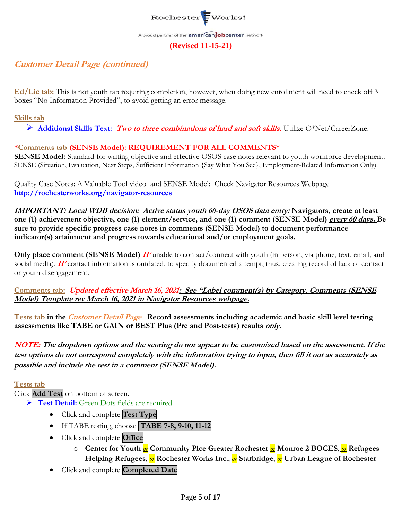

### **Customer Detail Page (continued)**

**Ed/Lic tab:** This is not youth tab requiring completion, however, when doing new enrollment will need to check off 3 boxes "No Information Provided", to avoid getting an error message.

**Skills tab**

➢ **Additional Skills Text: Two to three combinations of hard and soft skills.** Utilize O\*Net/CareerZone.

#### **\*Comments tab (SENSE Model): REQUIREMENT FOR ALL COMMENTS\***

**SENSE Model:** Standard for writing objective and effective OSOS case notes relevant to youth workforce development. SENSE (Situation, Evaluation, Next Steps, Sufficient Information {Say What You See}, Employment-Related Information Only).

Quality Case Notes: A Valuable Tool video and SENSE Model: Check Navigator Resources Webpage **<http://rochesterworks.org/navigator-resources>**

**IMPORTANT: Local WDB decision: Active status youth 60-day OSOS data entry: Navigators, create at least one (1) achievement objective, one (1) element/service, and one (1) comment (SENSE Model) every 60 days. Be sure to provide specific progress case notes in comments (SENSE Model) to document performance indicator(s) attainment and progress towards educational and/or employment goals.**

**Only place comment (SENSE Model) <b>IF** unable to contact/connect with youth (in person, via phone, text, email, and social media), **IF** contact information is outdated, to specify documented attempt, thus, creating record of lack of contact or youth disengagement.

**Comments tab: Updated effective March 16, 2021: See "Label comment(s) by Category. Comments (SENSE Model) Template rev March 16, 2021 in Navigator Resources webpage.**

**Tests tab in the Customer Detail Page Record assessments including academic and basic skill level testing assessments like TABE or GAIN or BEST Plus (Pre and Post-tests) results only.**

**NOTE: The dropdown options and the scoring do not appear to be customized based on the assessment. If the test options do not correspond completely with the information trying to input, then fill it out as accurately as possible and include the rest in a comment (SENSE Model).**

**Tests tab**

Click **Add Test** on bottom of screen.

- ➢ **Test Detail:** Green Dots fields are required
	- Click and complete **Test Type**
	- If TABE testing, choose **TABE 7-8, 9-10, 11-12**
	- Click and complete **Office**
		- o **Center for Youth** *or* **Community Plce Greater Rochester** *or* **Monroe 2 BOCES**, *or* **Refugees Helping Refugees**, *or* **Rochester Works Inc**., *or* **Starbridge**, *or* **Urban League of Rochester**
	- Click and complete **Completed Date**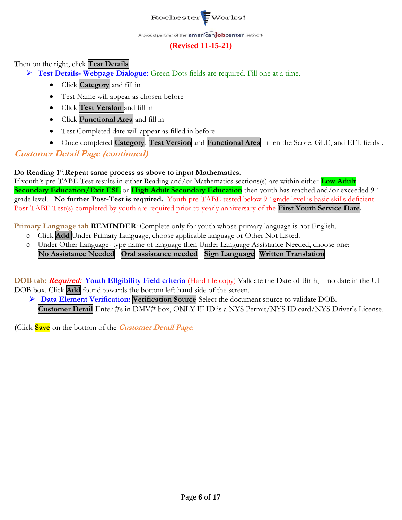

#### **(Revised 11-15-21)**

Then on the right, click **Test Details**

- ➢ **Test Details- Webpage Dialogue:** Green Dots fields are required. Fill one at a time.
	- Click **Category** and fill in
	- Test Name will appear as chosen before
	- Click **Test Version** and fill in
	- Click **Functional Area** and fill in
	- Test Completed date will appear as filled in before
	- Once completed **Category**, **Test Version** and **Functional Area** then the Score, GLE, and EFL fields .

### **Customer Detail Page (continued)**

#### **Do Reading 1st .Repeat same process as above to input Mathematics**.

If youth's pre-TABE Test results in either Reading and/or Mathematics sections(s) are within either **Low Adult Secondary Education/Exit ESL** or **High Adult Secondary Education** then youth has reached and/or exceeded 9<sup>th</sup> grade level. No further Post-Test is required. Youth pre-TABE tested below <sup>9th</sup> grade level is basic skills deficient. Post-TABE Test(s) completed by youth are required prior to yearly anniversary of the **First Youth Service Date.**

**Primary Language tab REMINDER**: Complete only for youth whose primary language is not English.

- o Click **Add** Under Primary Language, choose applicable language or Other Not Listed.
- o Under Other Language- type name of language then Under Language Assistance Needed, choose one: **No Assistance Needed Oral assistance needed Sign Language Written Translation**

**DOB tab: Required: Youth Eligibility Field criteria** (Hard file copy) Validate the Date of Birth, if no date in the UI DOB box. Click **Add** found towards the bottom left hand side of the screen.

➢ **Data Element Verification: Verification Source** Select the document source to validate DOB. **Customer Detail** Enter #s in DMV# box, ONLY IF ID is a NYS Permit/NYS ID card/NYS Driver's License.

**(**Click **Save** on the bottom of the **Customer Detail Page.**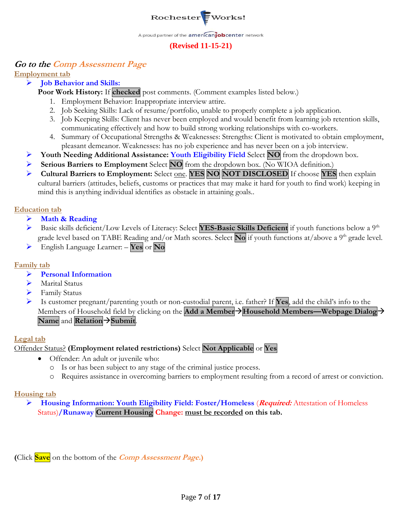

#### **(Revised 11-15-21)**

### **Go to the Comp Assessment Page**

**Employment tab**

#### ➢ **Job Behavior and Skills:**

- Poor Work History: If checked post comments. (Comment examples listed below.)
	- 1. Employment Behavior: Inappropriate interview attire.
	- 2. Job Seeking Skills: Lack of resume/portfolio, unable to properly complete a job application.
	- 3. Job Keeping Skills: Client has never been employed and would benefit from learning job retention skills, communicating effectively and how to build strong working relationships with co-workers.
	- 4. Summary of Occupational Strengths & Weaknesses: Strengths: Client is motivated to obtain employment, pleasant demeanor. Weaknesses: has no job experience and has never been on a job interview.
- ➢ **Youth Needing Additional Assistance: Youth Eligibility Field** Select **NO** from the dropdown box.
- ➢ **Serious Barriers to Employment** Select **NO** from the dropdown box. (No WIOA definition.)
- ➢ **Cultural Barriers to Employment:** Select one. **YES NO NOT DISCLOSED** If choose **YES** then explain cultural barriers (attitudes, beliefs, customs or practices that may make it hard for youth to find work) keeping in mind this is anything individual identifies as obstacle in attaining goals..

#### **Education tab**

#### ➢ **Math & Reading**

- ➢ Basic skills deficient/Low Levels of Literacy: Select **YES-Basic Skills Deficient** if youth functions below a 9th grade level based on TABE Reading and/or Math scores. Select **No** if youth functions at/above a 9 th grade level.
- ➢ English Language Learner: **Yes** or **No**

#### **Family tab**

- ➢ **Personal Information**
- ➢ Marital Status
- ➢ Family Status
- ➢ Is customer pregnant/parenting youth or non-custodial parent, i.e. father? If **Yes**, add the child's info to the Members of Household field by clicking on the **Add a Member**→**Household Members—Webpage Dialog**→ **Name** and **Relation**→**Submit**.

#### **Legal tab**

### Offender Status? **(Employment related restrictions)** Select **Not Applicable** or **Yes**

- Offender: An adult or juvenile who:
	- o Is or has been subject to any stage of the criminal justice process.
	- o Requires assistance in overcoming barriers to employment resulting from a record of arrest or conviction.

#### **Housing tab**

➢ **Housing Information: Youth Eligibility Field: Foster/Homeless** (**Required:** Attestation of Homeless Status)**/Runaway Current Housing Change: must be recorded on this tab.**

**(**Click **Save** on the bottom of the **Comp Assessment Page.)**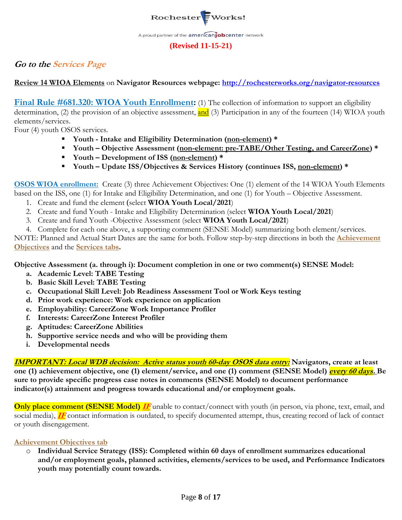

#### **(Revised 11-15-21)**

### **Go to the Services Page**

**Review 14 WIOA Elements** on **Navigator Resources webpage: <http://rochesterworks.org/navigator-resources>**

**Final Rule #681.320: WIOA Youth Enrollment:** (1) The collection of information to support an eligibility determination, (2) the provision of an objective assessment, and (3) Participation in any of the fourteen (14) WIOA youth elements/services.

Four (4) youth OSOS services.

- **Youth - Intake and Eligibility Determination (non-element) \***
- **Youth – Objective Assessment (non-element: pre-TABE/Other Testing, and CareerZone) \***
- **Youth – Development of ISS (non-element) \***
- **Youth – Update ISS/Objectives & Services History (continues ISS, non-element) \***

**OSOS WIOA enrollment:** Create (3) three Achievement Objectives: One (1) element of the 14 WIOA Youth Elements based on the ISS, one (1) for Intake and Eligibility Determination, and one (1) for Youth – Objective Assessment.

- 1. Create and fund the element (select **WIOA Youth Local/2021**)
- 2. Create and fund Youth Intake and Eligibility Determination (select **WIOA Youth Local/2021**)
- 3. Create and fund Youth -Objective Assessment (select **WIOA Youth Local/2021**)
- 4. Complete for each one above, a supporting comment (SENSE Model) summarizing both element/services.

NOTE: Planned and Actual Start Dates are the same for both. Follow step-by-step directions in both the **Achievement Objectives** and the **Services tabs.**

**Objective Assessment (a. through i): Document completion in one or two comment(s) SENSE Model:**

- **a. Academic Level: TABE Testing**
- **b. Basic Skill Level: TABE Testing**
- **c. Occupational Skill Level: Job Readiness Assessment Tool or Work Keys testing**
- **d. Prior work experience: Work experience on application**
- **e. Employability: CareerZone Work Importance Profiler**
- **f. Interests: CareerZone Interest Profiler**
- **g. Aptitudes: CareerZone Abilities**
- **h. Supportive service needs and who will be providing them**
- **i. Developmental needs**

**IMPORTANT: Local WDB decision: Active status youth 60-day OSOS data entry: Navigators, create at least one (1) achievement objective, one (1) element/service, and one (1) comment (SENSE Model) every 60 days. Be sure to provide specific progress case notes in comments (SENSE Model) to document performance indicator(s) attainment and progress towards educational and/or employment goals.**

**Only place comment (SENSE Model) IF** unable to contact/connect with youth (in person, via phone, text, email, and social media), **IF** contact information is outdated, to specify documented attempt, thus, creating record of lack of contact or youth disengagement.

#### **Achievement Objectives tab**

o **Individual Service Strategy (ISS): Completed within 60 days of enrollment summarizes educational and/or employment goals, planned activities, elements/services to be used, and Performance Indicators youth may potentially count towards.**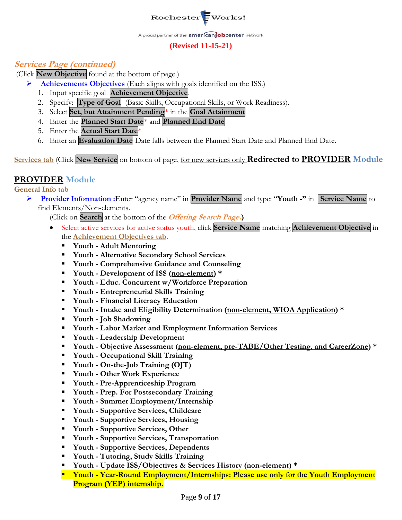

#### **(Revised 11-15-21)**

### **Services Page (continued)**

(Click **New Objective** found at the bottom of page.)

- ➢ **Achievements Objectives** (Each aligns with goals identified on the ISS.)
	- 1. Input specific goal **Achievement Objective**.
	- 2. Specify: **Type of Goal** (Basic Skills, Occupational Skills, or Work Readiness).
	- 3. Select **Set, but Attainment Pending**\* in the **Goal Attainment**
	- 4. Enter the **Planned Start Date**\* and **Planned End Date**
	- 5. Enter the **Actual Start Date**\*
	- 6. Enter an **Evaluation Date** Date falls between the Planned Start Date and Planned End Date.

**Services tab** (Click **New Service** on bottom of page, for new services only **Redirected to PROVIDER Module**

### **PROVIDER Module**

#### **General Info tab**

➢ **Provider Information :**Enter "agency name" in **Provider Name** and type: "**Youth -"** in **Service Name** to find Elements/Non-elements.

(Click on **Search** at the bottom of the **Offering Search Page.)**

- Select active services for active status youth, click **Service Name** matching **Achievement Objective** in the **Achievement Objectives tab**.
	- **Youth - Adult Mentoring**
	- **Youth - Alternative Secondary School Services**
	- **Youth - Comprehensive Guidance and Counseling**
	- **Youth - Development of ISS (non-element) \***
	- **Youth - Educ. Concurrent w/Workforce Preparation**
	- **Youth - Entrepreneurial Skills Training**
	- **Youth - Financial Literacy Education**
	- **Youth - Intake and Eligibility Determination (non-element, WIOA Application) \***
	- **Youth - Job Shadowing**
	- **Youth - Labor Market and Employment Information Services**
	- **Youth - Leadership Development**
	- **Youth - Objective Assessment (non-element, pre-TABE/Other Testing, and CareerZone) \***
	- **Youth - Occupational Skill Training**
	- **Youth - On-the-Job Training (OJT)**
	- **Youth - Other Work Experience**
	- **Youth - Pre-Apprenticeship Program**
	- **Youth - Prep. For Postsecondary Training**
	- **Youth - Summer Employment/Internship**
	- **Youth - Supportive Services, Childcare**
	- **Youth - Supportive Services, Housing**
	- **Youth - Supportive Services, Other**
	- **Youth - Supportive Services, Transportation**
	- **Youth - Supportive Services, Dependents**
	- **Youth - Tutoring, Study Skills Training**
	- **Youth - Update ISS/Objectives & Services History (non-element) \***
	- Youth Year-Round Employment/Internships: Please use only for the Youth Employment **Program (YEP) internship.**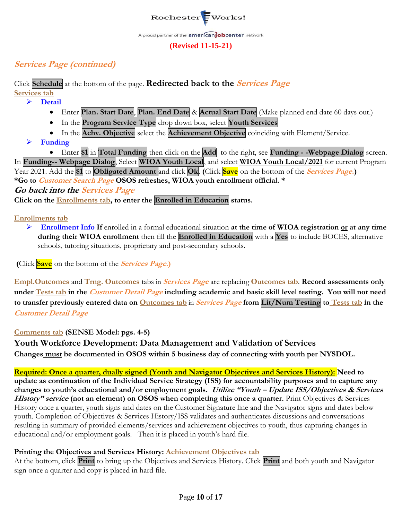

#### **(Revised 11-15-21)**

### **Services Page (continued)**

Click **Schedule** at the bottom of the page. **Redirected back to the Services Page Services tab**

➢ **Detail** 

- Enter **Plan. Start Date**, **Plan. End Date** & **Actual Start Date** (Make planned end date 60 days out.)
- In the **Program Service Type** drop down box, select **Youth Services**
- In the **Achv. Objective** select the **Achievement Objective** coinciding with Element/Service.
- ➢ **Funding** 
	- Enter **\$1** in **Total Funding** then click on the **Add** to the right, see **Funding - -Webpage Dialog** screen.

In **Funding-- Webpage Dialog**, Select **WIOA Youth Local**, and select **WIOA Youth Local/2021** for current Program Year 2021. Add the **\$1** to **Obligated Amount** and click **Ok**. **(**Click **Save** on the bottom of the **Services Page.) \*Go to Customer Search Page OSOS refreshes, WIOA youth enrollment official. \***

**Go back into the Services Page**

**Click on the Enrollments tab, to enter the Enrolled in Education status.**

**Enrollments tab**

➢ **Enrollment Info If** enrolled in a formal educational situation **at the time of WIOA registration or at any time during their WIOA enrollment** then fill the **Enrolled in Education** with a **Yes** to include BOCES, alternative schools, tutoring situations, proprietary and post-secondary schools.

**(**Click **Save** on the bottom of the **Services Page.)**

**Empl.Outcomes** and **Trng. Outcomes** tabs in **Services Page** are replacing **Outcomes tab**. **Record assessments only under Tests tab in the Customer Detail Page including academic and basic skill level testing. You will not need to transfer previously entered data on Outcomes tab** in **Services Page from Lit/Num Testing to Tests tab in the Customer Detail Page** 

**Comments tab (SENSE Model: pgs. 4-5)**

**Youth Workforce Development: Data Management and Validation of Services Changes must be documented in OSOS within 5 business day of connecting with youth per NYSDOL.**

**Required: Once a quarter, dually signed (Youth and Navigator Objectives and Services History): Need to update as continuation of the Individual Service Strategy (ISS) for accountability purposes and to capture any changes to youth's educational and/or employment goals. Utilize "Youth – Update ISS/Objectives & Services History" service (not an element) on OSOS when completing this once a quarter.** Print Objectives & Services History once a quarter, youth signs and dates on the Customer Signature line and the Navigator signs and dates below youth. Completion of Objectives & Services History/ISS validates and authenticates discussions and conversations resulting in summary of provided elements/services and achievement objectives to youth, thus capturing changes in educational and/or employment goals. Then it is placed in youth's hard file.

#### **Printing the Objectives and Services History: Achievement Objectives tab**

At the bottom, click **Print** to bring up the Objectives and Services History. Click **Print** and both youth and Navigator sign once a quarter and copy is placed in hard file.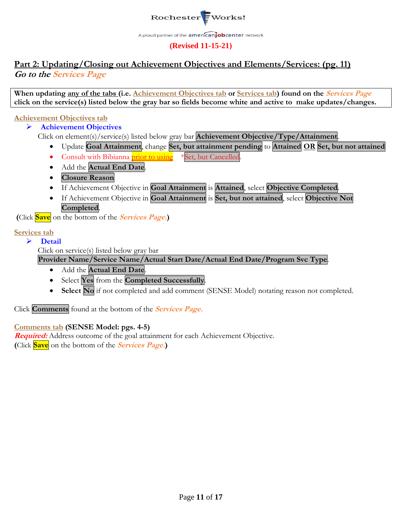

#### **(Revised 11-15-21)**

### **Part 2: Updating/Closing out Achievement Objectives and Elements/Services: (pg. 11) Go to the Services Page**

**When updating any of the tabs (i.e. Achievement Objectives tab or Services tab) found on the Services Page click on the service(s) listed below the gray bar so fields become white and active to make updates/changes.**

#### **Achievement Objectives tab**

➢ **Achievement Objectives**

Click on element(s)/service(s) listed below gray bar **Achievement Objective/Type/Attainment**.

- Update **Goal Attainment**, change **Set, but attainment pending** to **Attained OR Set, but not attained**
- Consult with Bibianna **prior to using** \*Set, but Cancelled
- Add the **Actual End Date**.
- **Closure Reason**
- If Achievement Objective in **Goal Attainment** is **Attained**, select **Objective Completed**.
- If Achievement Objective in **Goal Attainment** is **Set, but not attained**, select **Objective Not Completed**.

**(**Click **Save** on the bottom of the **Services Page.)**

#### **Services tab**

➢ **Detail** 

Click on service(s) listed below gray bar

#### **Provider Name/Service Name/Actual Start Date/Actual End Date/Program Svc Type**.

- Add the **Actual End Date**.
- Select **Yes** from the **Completed Successfully**.
- **Select**  $\overline{No}$  if not completed and add comment (SENSE Model) notating reason not completed.

Click **Comments** found at the bottom of the **Services Page.**

#### **Comments tab (SENSE Model: pgs. 4-5)**

**Required:** Address outcome of the goal attainment for each Achievement Objective. **(**Click **Save** on the bottom of the **Services Page.)**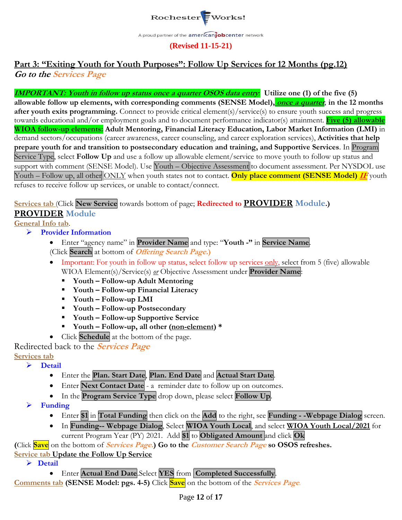

### **Part 3: "Exiting Youth for Youth Purposes": Follow Up Services for 12 Months (pg.12) Go to the Services Page**

**IMPORTANT: Youth in follow up status once a quarter OSOS data entry**: **Utilize one (1) of the five (5) allowable follow up elements, with corresponding comments (SENSE Model), once a quarter**, **in the 12 months after youth exits programming.** Connect to provide critical element(s)/service(s) to ensure youth success and progress towards educational and/or employment goals and to document performance indicator(s) attainment. **Five (5) allowable WIOA follow-up elements: Adult Mentoring, Financial Literacy Education, Labor Market Information (LMI)** in demand sectors/occupations (career awareness, career counseling, and career exploration services), **Activities that help prepare youth for and transition to postsecondary education and training, and Supportive Services**. In Program Service Type, select **Follow Up** and use a follow up allowable element/service to move youth to follow up status and support with comment (SENSE Model). Use Youth – Objective Assessment to document assessment. Per NYSDOL use Youth – Follow up, all other ONLY when youth states not to contact. **Only place comment (SENSE Model)** IF youth refuses to receive follow up services, or unable to contact/connect.

**Services tab** (Click **New Service** towards bottom of page; **Redirected to PROVIDER Module.)**

### **PROVIDER Module**

#### **General Info tab**.

- ➢ **Provider Information** 
	- Enter "agency name" in **Provider Name** and type: "**Youth -"** in **Service Name**. (Click **Search** at bottom of **Offering Search Page.)**
	- Important: For youth in follow up status, select follow up services only, select from 5 (five) allowable WIOA Element(s)/Service(s) *or* Objective Assessment under **Provider Name**:
		- **Youth – Follow-up Adult Mentoring**
		- **Youth – Follow-up Financial Literacy**
		- **Youth – Follow-up LMI**
		- **Youth – Follow-up Postsecondary**
		- **Youth – Follow-up Supportive Service**
		- **Youth – Follow-up, all other (non-element) \***
	- Click **Schedule** at the bottom of the page.

Redirected back to the **Services Page Services tab**

➢ **Detail**

- Enter the **Plan. Start Date**, **Plan. End Date** and **Actual Start Date**.
- Enter **Next Contact Date** a reminder date to follow up on outcomes.
- In the **Program Service Type** drop down, please select **Follow Up**.
- ➢ **Funding** 
	- Enter **\$1** in **Total Funding** then click on the **Add** to the right, see **Funding - -Webpage Dialog** screen.
	- In **Funding-- Webpage Dialog**, Select **WIOA Youth Local**, and select **WIOA Youth Local/2021** for current Program Year (PY) 2021. Add **\$1** to **Obligated Amount** and click **Ok**

**(**Click **Save** on the bottom of **Services Page.) Go to the Customer Search Page so OSOS refreshes.** 

**Service tab Update the Follow Up Service**

➢ **Detail** 

• Enter **Actual End Date**.Select **YES** from **Completed Successfully**.

**Comments tab (SENSE Model: pgs. 4-5)** Click **Save** on the bottom of the **Services Page.**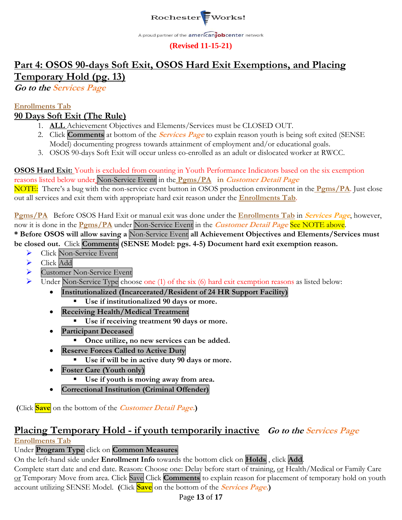

## **Part 4: OSOS 90-days Soft Exit, OSOS Hard Exit Exemptions, and Placing Temporary Hold (pg. 13)**

**Go to the Services Page**

#### **Enrollments Tab**

### **90 Days Soft Exit (The Rule)**

- 1. **ALL** Achievement Objectives and Elements/Services must be CLOSED OUT.
- 2. Click **Comments** at bottom of the **Services Page** to explain reason youth is being soft exited (SENSE Model) documenting progress towards attainment of employment and/or educational goals.
- 3. OSOS 90-days Soft Exit will occur unless co-enrolled as an adult or dislocated worker at RWCC.

**OSOS Hard Exit:** Youth is excluded from counting in Youth Performance Indicators based on the six exemption reasons listed below under Non-Service Event in the **Pgms/PA in Customer Detail Page**

NOTE: There's a bug with the non-service event button in OSOS production environment in the **Pgms/PA**. Just close out all services and exit them with appropriate hard exit reason under the **Enrollments Tab**.

**Pgms/PA** Before OSOS Hard Exit or manual exit was done under the **Enrollments Tab** in **Services Page**, however, now it is done in the **Pgms/PA** under Non-Service Event in the **Customer Detail Page** See NOTE above.

**\* Before OSOS will allow saving a** Non-Service Event **all Achievement Objectives and Elements/Services must be closed out.** Click **Comments (SENSE Model: pgs. 4-5) Document hard exit exemption reason.**

- ➢ Click Non-Service Event
- ➢ Click Add
- ➢ Customer Non-Service Event
	- Under Non-Service Type choose one (1) of the six (6) hard exit exemption reasons as listed below:
		- **Institutionalized (Incarcerated/Resident of 24 HR Support Facility)**
			- **Use if institutionalized 90 days or more.**
		- **Receiving Health/Medical Treatment**
			- **Use if receiving treatment 90 days or more.**
		- **Participant Deceased**
			- **Once utilize, no new services can be added.**
		- **Reserve Forces Called to Active Duty**
			- **Use if will be in active duty 90 days or more.**
		- **Foster Care (Youth only)**
			- **Use if youth is moving away from area.**
		- **Correctional Institution (Criminal Offender)**

**(**Click **Save** on the bottom of the **Customer Detail Page.)**

#### **Placing Temporary Hold - if youth temporarily inactive Go to the Services Page Enrollments Tab**

Under **Program Type** click on **Common Measures**

On the left-hand side under **Enrollment Info** towards the bottom click on **Holds** , click **Add**.

Complete start date and end date. Reason: Choose one: Delay before start of training, or Health/Medical or Family Care or Temporary Move from area. Click Save Click **Comments** to explain reason for placement of temporary hold on youth account utilizing SENSE Model. **(**Click **Save** on the bottom of the **Services Page.)**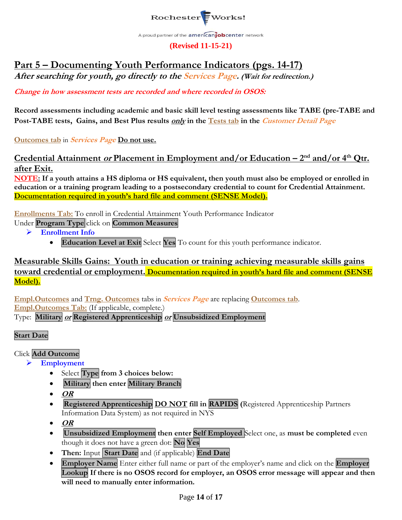

## **Part 5 – Documenting Youth Performance Indicators (pgs. 14-17)**

**After searching for youth, go directly to the Services Page. (Wait for redirection.)**

**Change in how assessment tests are recorded and where recorded in OSOS:** 

**Record assessments including academic and basic skill level testing assessments like TABE (pre-TABE and Post-TABE tests, Gains, and Best Plus results only in the Tests tab in the Customer Detail Page** 

**Outcomes tab** in **Services Page Do not use.**

**Credential Attainment** *or* **Placement in Employment and/or Education – 2<sup>nd</sup> and/or 4<sup>th</sup> Qtr. after Exit.** 

**NOTE: If a youth attains a HS diploma or HS equivalent, then youth must also be employed or enrolled in education or a training program leading to a postsecondary credential to count for Credential Attainment. Documentation required in youth's hard file and comment (SENSE Model).**

**Enrollments Tab:** To enroll in Credential Attainment Youth Performance Indicator Under **Program Type** click on **Common Measures**

- ➢ **Enrollment Info** 
	- **Education Level at Exit** Select **Yes** To count for this youth performance indicator.

#### **Measurable Skills Gains: Youth in education or training achieving measurable skills gains toward credential or employment. Documentation required in youth's hard file and comment (SENSE Model).**

**Empl.Outcomes** and **Trng. Outcomes** tabs in **Services Page** are replacing **Outcomes tab**. **Empl.Outcomes Tab:** (If applicable, complete.)

Type: **Military or Registered Apprenticeship or Unsubsidized Employment**

#### **Start Date**

#### Click **Add Outcome**

- ➢ **Employment**
	- Select **Type from 3 choices below:**
	- **Military then enter Military Branch**
	- **OR**
	- **Registered Apprenticeship DO NOT fill in RAPIDS (**Registered Apprenticeship Partners Information Data System) as not required in NYS
	- **OR**
	- **Unsubsidized Employment then enter Self Employed** Select one, as **must be completed** even though it does not have a green dot: **No Yes**
	- **Then:** Input **Start Date** and (if applicable) **End Date**
	- **Employer Name** Enter either full name or part of the employer's name and click on the **Employer Lookup If there is no OSOS record for employer, an OSOS error message will appear and then will need to manually enter information.**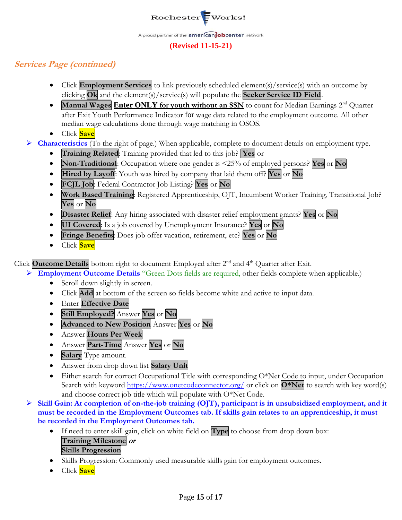

#### **(Revised 11-15-21)**

### **Services Page (continued)**

- Click **Employment Services** to link previously scheduled element(s)/service(s) with an outcome by clicking **Ok** and the element(s)/service(s) will populate the **Seeker Service ID Field**.
- **Manual Wages Enter ONLY for youth without an SSN** to count for Median Earnings 2nd Quarter after Exit Youth Performance Indicator for wage data related to the employment outcome. All other median wage calculations done through wage matching in OSOS.
- Click **Save**
- ➢ **Characteristics** (To the right of page.) When applicable, complete to document details on employment type.
	- **Training Related**: Training provided that led to this job? **Yes** or
	- **Non-Traditional**: Occupation where one gender is <25% of employed persons? **Yes** or **No**
	- **Hired by Layoff**: Youth was hired by company that laid them off? **Yes** or **No**
	- **FCJL Job**: Federal Contractor Job Listing? **Yes** or **No**
	- **Work Based Training**: Registered Apprenticeship, OJT, Incumbent Worker Training, Transitional Job? **Yes** or **No**
	- **Disaster Relief**: Any hiring associated with disaster relief employment grants? **Yes** or **No**
	- **UI Covered**: Is a job covered by Unemployment Insurance? **Yes** or **No**
	- **Fringe Benefits**: Does job offer vacation, retirement, etc? **Yes** or **No**
	- Click **Save**

Click **Outcome Details** bottom right to document Employed after 2<sup>nd</sup> and 4<sup>th</sup> Quarter after Exit.

- ➢ **Employment Outcome Details** "Green Dots fields are required, other fields complete when applicable.)
	- Scroll down slightly in screen.
	- Click **Add** at bottom of the screen so fields become white and active to input data.
	- Enter **Effective Date**
	- **Still Employed?** Answer **Yes** or **No**
	- **Advanced to New Position** Answer **Yes** or **No**
	- Answer **Hours Per Week**
	- Answer **Part-Time** Answer **Yes** or **No**
	- **Salary** Type amount.
	- Answer from drop down list **Salary Unit**
	- Either search for correct Occupational Title with corresponding O\*Net Code to input, under Occupation Search with keyword <https://www.onetcodeconnector.org/> or click on **O\*Net** to search with key word(s) and choose correct job title which will populate with O\*Net Code.
- ➢ **Skill Gain: At completion of on-the-job training (OJT), participant is in unsubsidized employment, and it must be recorded in the Employment Outcomes tab. If skills gain relates to an apprenticeship, it must be recorded in the Employment Outcomes tab.**
	- If need to enter skill gain, click on white field on **Type** to choose from drop down box:

#### **Training Milestone or Skills Progression**

- Skills Progression: Commonly used measurable skills gain for employment outcomes.
- Click **Save**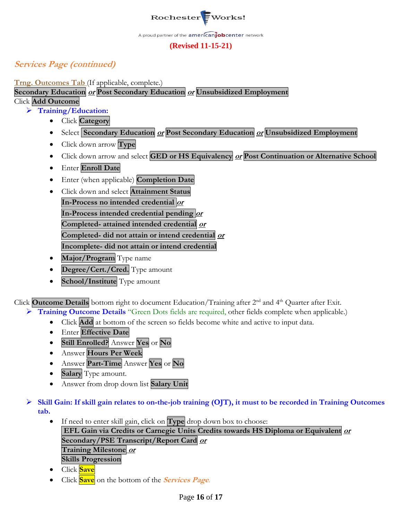

#### **(Revised 11-15-21)**

### **Services Page (continued)**

**Trng. Outcomes Tab** (If applicable, complete.)

**Secondary Education or Post Secondary Education or Unsubsidized Employment**

#### Click **Add Outcome**

- ➢ **Training/Education:** 
	- Click **Category**
	- Select **Secondary Education or Post Secondary Education or Unsubsidized Employment**
	- Click down arrow **Type**
	- Click down arrow and select **GED or HS Equivalency or Post Continuation or Alternative School**
	- Enter **Enroll Date**
	- Enter (when applicable) **Completion Date**
	- Click down and select **Attainment Status In-Process no intended credential or In-Process intended credential pending or Completed- attained intended credential or Completed- did not attain or intend credential or Incomplete- did not attain or intend credential**
	- **Major/Program** Type name
	- **Degree/Cert./Cred.** Type amount
	- **School/Institute** Type amount

Click **Outcome Details** bottom right to document Education/Training after 2<sup>nd</sup> and 4<sup>th</sup> Quarter after Exit. ➢ **Training Outcome Details** "Green Dots fields are required, other fields complete when applicable.)

- Click **Add** at bottom of the screen so fields become white and active to input data.
- Enter **Effective Date**
- **Still Enrolled?** Answer **Yes** or **No**
- Answer **Hours Per Week**
- Answer **Part-Time** Answer **Yes** or **No**
- **Salary** Type amount.
- Answer from drop down list **Salary Unit**
- ➢ **Skill Gain: If skill gain relates to on-the-job training (OJT), it must to be recorded in Training Outcomes tab.**
	- If need to enter skill gain, click on **Type** drop down box to choose: **EFL Gain via Credits or Carnegie Units Credits towards HS Diploma or Equivalent or Secondary/PSE Transcript/Report Card or Training Milestone or Skills Progression**
	- Click **Save**
	- Click **Save** on the bottom of the **Services Page.**